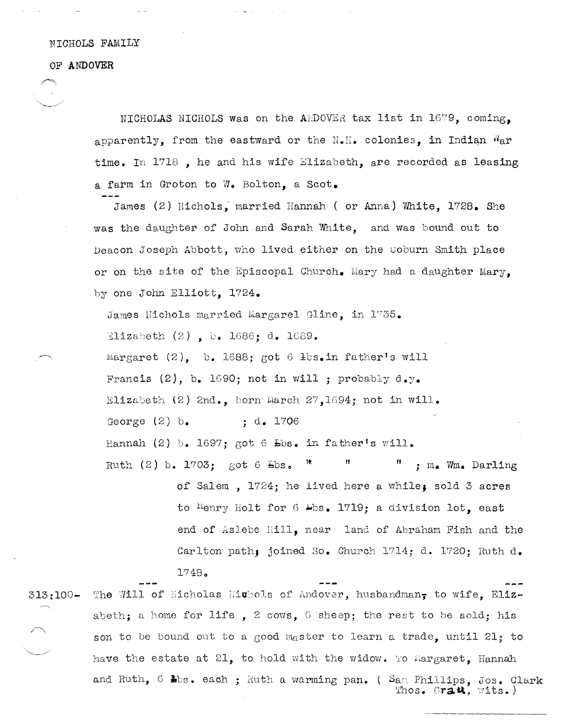NICHOLS FAMILY

## OF ANDOVER

NICHOLAS NICHOLS was on the ANDOVER tax list in 1679, coming, apparently, from the eastward or the  $N_{\bullet}H_{\bullet}$  colonies, in Indian  $W_{\alpha}$ r time. In 1718, he and his wife Elizabeth, are recorded as leasing a farm in Groton to W. Bolton, a Scot.

James (2) Nichols, married Hannah ( or Anna) White, 1728, She was the daughter of John and Sarah White, and was bound out to Deacon Joseph Abbott, who lived either on the Coburn Smith place or on the site of the Episcopal Church. Mary had a daughter Mary. by one John Elliott, 1724.

James Nichols married Margarel Gline, in 1735. Elizabeth  $(2)$ , b. 1686; d. 1689. Margaret  $(2)$ , b. 1688; got 6 lbs. in father's will Francis (2), b. 1690; not in will ; probably  $d_{\bullet}y_{\bullet}$ Elizabeth (2) 2nd., born March 27,1694; not in will. George  $(2)$  b.  $: d_{\bullet} 1706$ Hannah (2) b. 1697; got 6  $\text{Ebs}$ . in father's will. Ruth (2) b. 1703; got 6 Lbs.  $\mathbf{B}_{\perp}$ ; m. Wm. Darling

of Salem . 1724: he lived here a while. sold 3 acres to Henry Holt for 6 Lbs. 1719; a division lot, east end of Aslebe Hill, near land of Abraham Fish and the Carlton path, joined So. Church 1714; d. 1720; Ruth d.  $1748.$ 

The Will of Nicholas Michols of Andover, husbandman, to wife, Eliz- $313:100$ abeth; a home for life, 2 cows, 6 sheep; the rest to be sold; his son to be bound out to a good master to learn a trade, until 21; to have the estate at 21, to hold with the widow. To Margaret, Hannah and Ruth, 6 hbs. each ; Ruth a warming pan. (Sam Phillips, Jos. Clark Thos. Crat, wits.)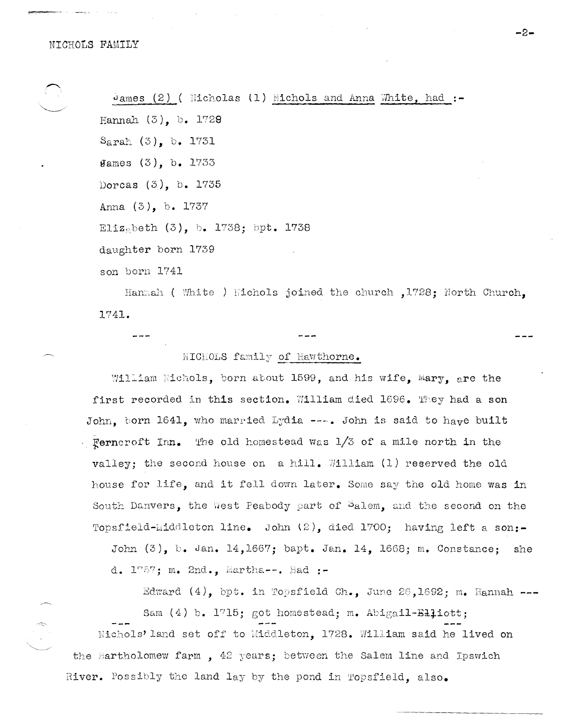James  $(2)$  ( Nicholas  $(1)$  Nichols and Anna White, had :-Hannah  $(3)$ , b. 1729  $S<sub>arah</sub> (3)$ , b. 1731 **James**  $(3)$ , b. 1733 Dorcas (3), b. 1735 Anna (3), b. 1737 Elizabeth (3), b. 1738; bpt. 1738 daughter born 1739 son born 1741

Hannah ( White ) Wichols joined the church , 1728; North Church, 1741.

-2.

NICHOLS family of Hawthorne.

William Nichols, born about 1599, and his wife, Mary, are the first recorded in this section. William died 1696. They had a son John, born 1641, who married Lydia ---. John is said to have built Ferncroft Inn. The old homestead was  $1/3$  of a mile north in the valley; the second house on a hill. William (1) reserved the old house for life, and it fell down later. Some say the old home was in South Danvers, the West Peabody part of Salem, and the second on the Topsfield-Middleton line. John (2), died 1700; having left a son:-

John (3), b. Jan. 14,1667; bapt. Jan. 14, 1668; m. Constance; she d. 1757; m. 2nd., Martha--. Had :-

Edward  $(4)$ , bpt. in Topsfield Ch., June 26,1692; m. Hannah ---Sam (4) b. 1715; got homestead; m. Abigail-Elliott; Nichols' land set off to Middleton, 1728. William said he lived on the Bartholomew farm, 42 years; between the Salem line and Ipswich River. Possibly the land lay by the pond in Topsfield. also.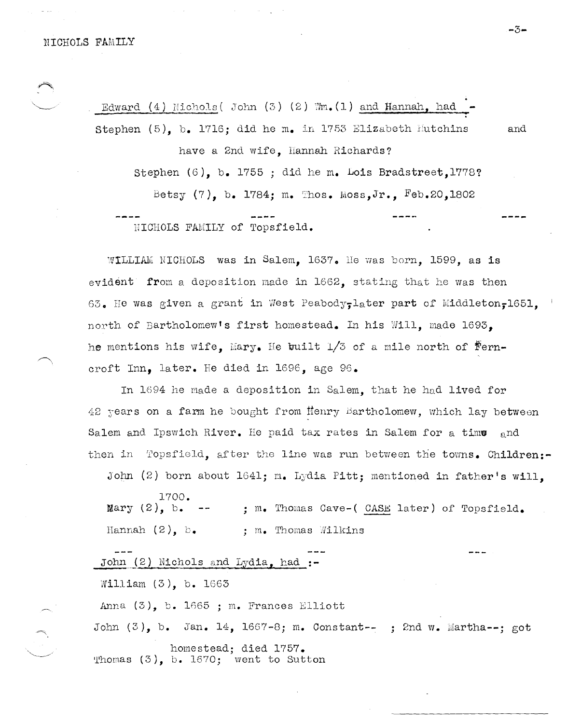Edward (4) Nichols ( John  $(3)$   $(2)$  Wm.  $(1)$  and Hannah, had Stephen (5), b. 1716; did he m. in 1753 Elizabeth Hutchins and have a 2nd wife, Hannah Richards? Stephen (6), b. 1755 ; did he m. Lois Bradstreet, 1778? Betsy  $(7)$ , b. 1784; m. Thos. Moss,Jr., Feb.20,1802

NICHOLS FAMILY of Topsfield.

 $W1$ LLIAM NICHOLS was in Salem. 1637. He was born, 1599, as is evident from a deposition made in  $1662$ , stating that he was then 63. He was given a grant in West Peabody, later part of Middleton, 1651. north of Bartholomew's first homestead. In his Will, made 1693. he mentions his wife, Mary. He built  $1/3$  of a mile north of  $\mathbf{F}$ erncroft Inn, later. He died in 169E, age 96.

In 1694 he made a deposition in Salem, that he had lived for  $42$  years on a farm he bought from Henry Bartholomew, which lay between Salem and Ipswich River. He paid tax rates in Salem for a time  $_{\text{q}}$ nd then in Topsfield, after the line was run between the towns. Children:-

John  $(2)$  born about 1641; m. Lydia Pitt; mentioned in father's will.

1700. Mary  $(2)$ , b.  $--$ ; m. Thomas Cave-( CASE later) of Topsfield. Hannah  $(2)$ ,  $b$ . ; m. Thomas Wilkins

John (2) Nichols and Lydia, had :-

Nilliam (3), b. 1663

Anna  $(3)$ , b. 1665 ; m. Frances Elliott

John  $(3)$ , b. Jan. 14, 1667-8; m. Constant--; ? 2nd w. Martha--; got homestead; died 1757. 'l'homas (3), b. 1670; went to Sutton

-3-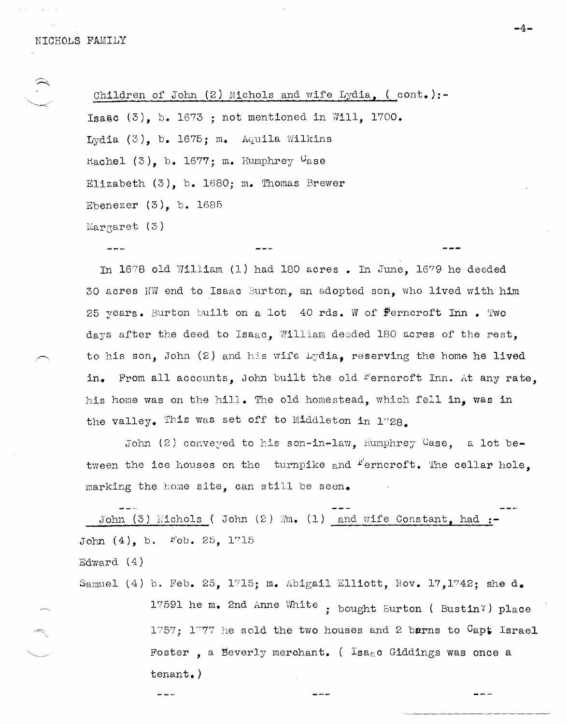Children of John  $(2)$  Nichols and wife Lydia,  $($  cont.):-Isaac  $(3)$ , b. 1673 ; not mentioned in Will, 1700. Lydia  $(3)$ , b. 1675; m. Aquila Wilkins Rachel  $(3)$ , b. 1677; m. Humphrey  $G$ ase Elizabeth (3), b. 1680; m. Thomas Brewer Ebenezer (3), b. 1685  $Margaret(3)$ 

In 1678 old William (1) had 180 acres. In June, 1679 he deeded 30 acres NW end to Isaac Burton, an adopted son, who lived with him 25 years. Burton built on a lot 40 rds. W of  $F$ erncroft Inn. Two days after the deed to Isaac, William deeded 180 acres of the rest, to his son, John (2) and his wife Lydia, reserving the home he lived in. From all accounts, John built the old "erncroft Inn. At any rate. his home was on the hill. The old homestead, which fell in. was in the valley. This was set off to Middleton in  $1728$ .

John  $(2)$  conveyed to his son-in-law, humphrey Case, a lot between the ice houses on the turnpike and  $f'$ erncroft. The cellar hole. marking the home site, can still be seen.

John (3) Nichols ( John (2) Mm. (1) and wife Constant, had :-John  $(4)$ , b.  $1$ "eb. 25, 1715 Edward (4)

Samuel (4) b. Feb. 25, 1715; m. Abigail Elliott, Nov. 17,1742; she d. 17591 he m. 2nd Anne White ; bought Burton ( Bustin') place 1757; 1777 he sold the two houses and 2 barns to  $C$ apt Israel Foster, a Beverly merchant. (  $I_{\texttt{S}a}_{\text{R}}$  c Giddings was once a tenant.)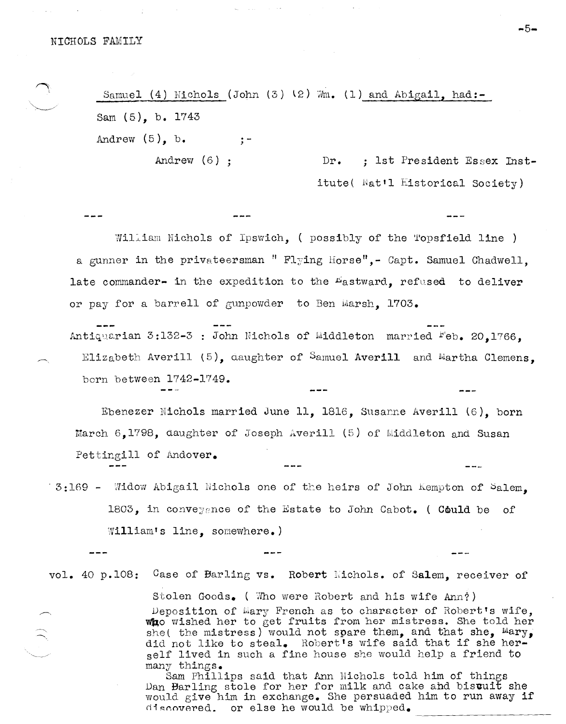Samuel (4) Nichols (John  $(3)$   $(2)$   $\mathbb{R}$ ,  $(1)$  and Abigail, had:-Sam  $(5)$ , b. 1743 Andrew  $(5)$ , b.  $\frac{1}{2}$  –

Andrew  $(6)$  :

 $Dr.$ ; 1st President Essex Institute( Nat'l Historical Society)

 $-$ 

William Nichols of Ipswich, (possibly of the Topsfield line ) a gunner in the privateersman " Flying Horse". - Capt. Samuel Chadwell. late commander- in the expedition to the "astward, refused to deliver or pay for a barrell of gunpowder to Ben Marsh. 1703.

Antiquarian 3:132-3 : John Nichols of Middleton married Feb. 20.1766. Elizabeth Averill  $(5)$ , daughter of Samuel Averill and Martha Clemens. born between 1742-1749.

Ebenezer Nichols married June 11, 1816, Susanne Averill (6), born March  $6.1798$ , daughter of Joseph Averill (5) of Middleton and Susan Pettingill of Andover.

3:169 - Widow Abigail Nichols one of the heirs of John Kempton of Salem. 1803, in conveygnce of the Estate to John Cabot. (Could be of William's line, somewhere.)

vol. 40 p.108: Case of Barling vs. Robert Michols. of Salem, receiver of Stolen Goods. (Who were Robert and his wife Ann?) Deposition of Mary French as to character of Robert's wife. who wished her to get fruits from her mistress. She told her she( the mistress) would not spare them, and that she,  $Mary$ , did not like to steal. Robert's wife said that if she her-

> many things. Sam Phillips said that Ann Nichols told him of things Dan Barling stole for her for milk and cake and bisuuit she would give him in exchange. She persuaded him to run away if discovered. or else he would be whipped.

self lived in such a fine house she would help a friend to

-5-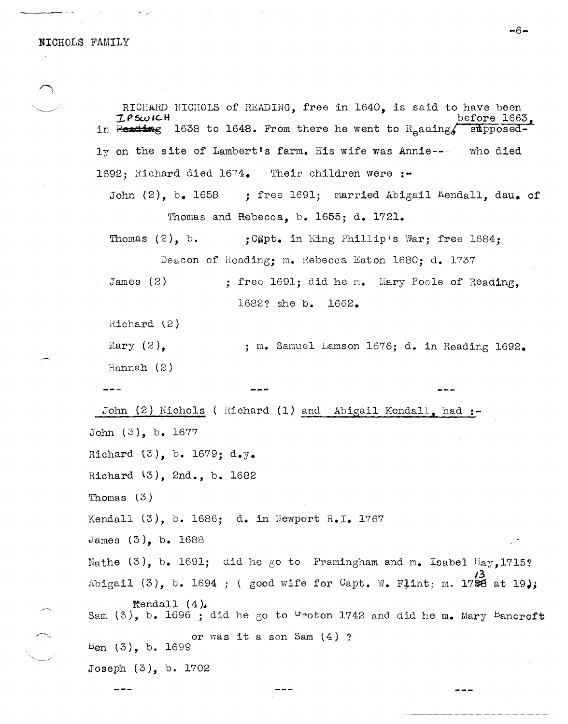RICHARD NICHOLS of READING, free in 1640, is said to have been<br>  $IPSWICH$  before 1663,  $I$ PS $\omega$ ICH before 1663, in  $\frac{1}{100}$   $\frac{1638}{1638}$  to 1648. From there he went to  $R_{e}$ auing, supposedly on the site of Lambert's farm. His wife was Annie--- who died 1692; Richard died *16ry4.* Their children were **:-** John  $(2)$ , b. 1658 ; free 1691; married Abigail "Aendall, dau. of Thomas and Rebecca, b. 1655; d. 1721. Thomas  $(2)$ , b. ; Capt. in King Phillip's War; free 1684; Deacon of Reading: m. Rebecca Eaton 1680: d. 1737 James (2)  $Richard (2)$ Mary  $(2)$ , Hannah (2) John (2) Nichols (Richard (1) and Abigail Kendall, had :-John (3), b. 1677 Richard (3), b. 1679; d.y. Richard (3), 2nd., b. 1682 Thomas (3 ) ; free 1691; did he m. Mary Poole of Reading, 1682? she b. 1662. m. Samuel Lamson 1676; d. in Reading 1692. Kendall  $(3)$ , b. 1686; d. in Newport R.I. 1767 James (3), b. 1688 Nathe  $(3)$ , b. 1691; did he go to Framingham and m. Isabel  $H_{AY}$ 1715? /3<br>Abigail (3), b. 1694 ; ( good wife for Capt. W. Fļint; m. 1728 at 19); **Rendall (4).**<br>Sam (3), b. 1696 ; did he go to <sup>G</sup>roton 1742 and did he m. Mary Bancroft or was it a son Sam  $(4)$  ?  $B$ en  $(3)$ , b. 1699 Joseph (3), b. 1702

 $-6-$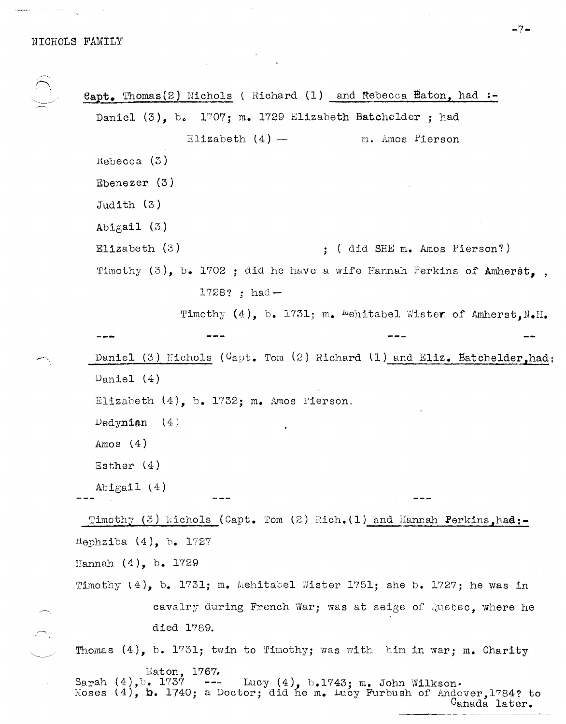**8apt.** Thomas(2) Nichols ( Richard (1) and Rebecca Eaton, had **:-** Daniel (3), b. 1707; m. 1729 Elizabeth Batchelder; had  $Kebecca$  (3) Ebenezer (3) Judith  $(3)$ Abigail (3) Elizabeth (3) Elizabeth  $(4)$  - 111. Amos Pierson ; ( did SHE m. Amos Pierson?) Timothy (3), b. 1702 ; did he have a wife Hannah Perkins of Amherst,  $1728$ ? ; had  $-$ Timothy  $(4)$ , b. 1731; m. <sup>M</sup>ehitabel Wister of Amherst, N.H. Daniel (3) Eichols ( $C$ apt. Tom (2) Richard (1) and Eliz. Batchelder, had: Daniel (4) Elizabeth (4), b. 1732; m. Amos Pierson. Dedynian  $(4)$ Amos (4) Esther  $(4)$ Abigail (4) Timothy  $(3)$  Nichols (Capt. Tom  $(2)$  Rich.  $(1)$  and Hannah Perkins, had:tlephziba (4), b. 1'727 Hannah  $(4)$ , b. 1729 Timothy  $(4)$ , b. 1731; m. Mehitabel Wister 1751; she b. 1727; he was in cavalry during French War; was at seige of Quebec, where he died 1789. Thomas  $(4)$ , b. 1731; twin to Timothy; was with him in war; m. Charity Eaton, 1767.<br>--- Sarah (4).b. 1737 Sarah (4),b. 1'737 **---** Lucy (4), b.1'743; m. John Wi1kson. Moses  $(4)$ , **b.** 1740; a Doctor; did he m. Lucy Furbush of Andover,1784? to Cahada later.

**-7-**